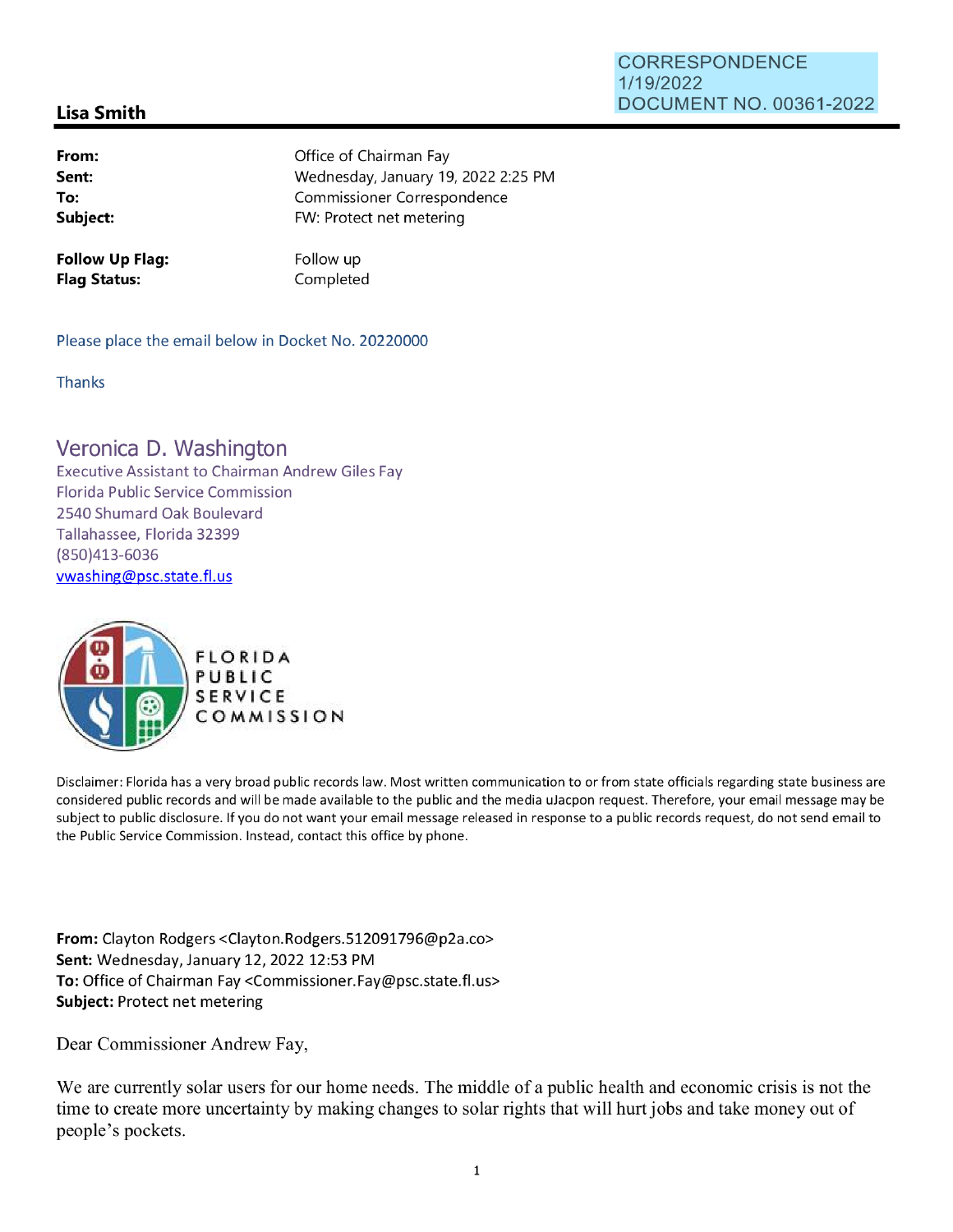## CORRESPONDENCE 1/19/2022 DOCUMENT NO. 00361-2022

## **Lisa Smith**

| From:    | Office of Chairman Fay              |
|----------|-------------------------------------|
| Sent:    | Wednesday, January 19, 2022 2:25 PM |
| To:      | Commissioner Correspondence         |
| Subject: | FW: Protect net metering            |
|          |                                     |

**Follow Up Flag: Flag Status:** 

Follow up Completed

Please place the email below in Docket No. 20220000

**Thanks** 

## Veronica D. Washington

Executive Assistant to Chairman Andrew Giles Fay Florida Public Service Commission 2540 Shumard Oak Boulevard Tallahassee, Florida 32399 (850)413-6036 vwashing@psc.state.fl.us



Disclaimer: Florida has a very broad public records law. Most written communication to or from state officials regarding state business are considered public records and will be made available to the public and the media uJacpon request. Therefore, your email message may be subject to public disclosure. If you do not want your email message released in response to a public records request, do not send email to the Public Service Commission. Instead, contact this office by phone.

**From:** Clayton Rodgers <Clayton.Rodgers.512091796@p2a.co> **Sent:** Wednesday, January 12, 2022 12:53 PM **To:** Office of Chairman Fay <Commissioner.Fay@psc.state.fl.us> **Subject:** Protect net metering

Dear Commissioner Andrew Fay,

We are currently solar users for our home needs. The middle of a public health and economic crisis is not the time to create more uncertainty by making changes to solar rights that will hurt jobs and take money out of people 's pockets.